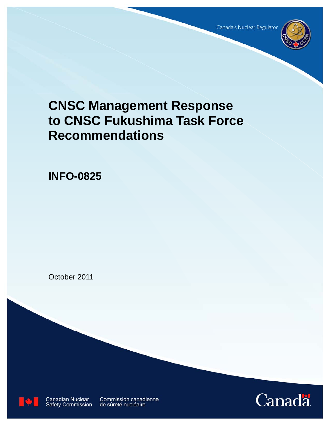Canada's Nuclear Regulator



# **CNSC Management Response to CNSC Fukushima Task Force Recommendations**

**INFO-0825** 

October 2011



**Canadian Nuclear Safety Commission** 

**Commission canadienne** de sûreté nucléaire

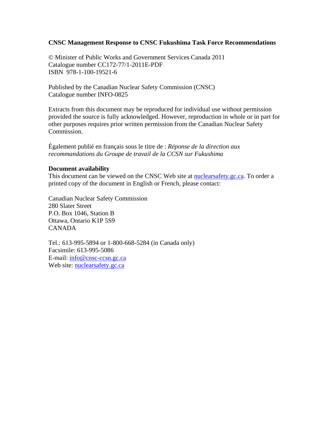#### **CNSC Management Response to CNSC Fukushima Task Force Recommendations**

© Minister of Public Works and Government Services Canada 2011 Catalogue number CC172-77/1-2011E-PDF ISBN 978-1-100-19521-6

Published by the Canadian Nuclear Safety Commission (CNSC) Catalogue number INFO-0825

Extracts from this document may be reproduced for individual use without permission provided the source is fully acknowledged. However, reproduction in whole or in part for other purposes requires prior written permission from the Canadian Nuclear Safety Commission.

Également publié en français sous le titre de : *Réponse de la direction aux recommandations du Groupe de travail de la CCSN sur Fukushima*

#### **Document availability**

This document can be viewed on the CNSC Web site at **nuclearsafety** gc.ca. To order a printed copy of the document in English or French, please contact:

Canadian Nuclear Safety Commission 280 Slater Street P.O. Box 1046, Station B Ottawa, Ontario K1P 5S9 CANADA

Tel.: 613-995-5894 or 1-800-668-5284 (in Canada only) Facsimile: 613-995-5086 E-mail: [info@cnsc-ccsn.gc.ca](mailto:info@cnsc-ccsn.gc.ca) Web site: nuclearsafety.gc.ca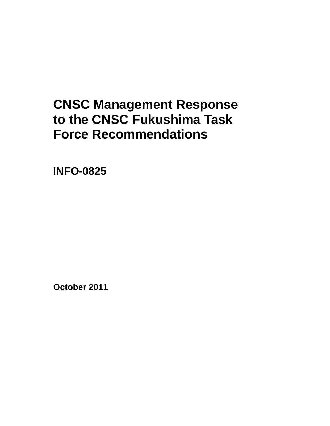# **CNSC Management Response to the CNSC Fukushima Task Force Recommendations**

**INFO-0825** 

**October 2011**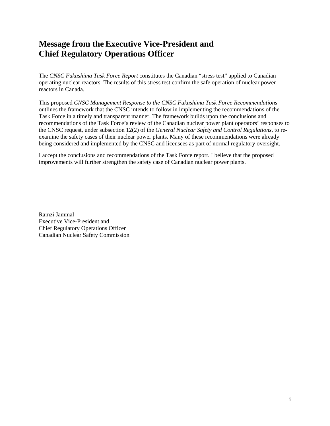## **Message from the Executive Vice-President and Chief Regulatory Operations Officer**

The *CNSC Fukushima Task Force Report* constitutes the Canadian "stress test" applied to Canadian operating nuclear reactors. The results of this stress test confirm the safe operation of nuclear power reactors in Canada.

This proposed *CNSC Management Response to the CNSC Fukushima Task Force Recommendations* outlines the framework that the CNSC intends to follow in implementing the recommendations of the Task Force in a timely and transparent manner. The framework builds upon the conclusions and recommendations of the Task Force's review of the Canadian nuclear power plant operators' responses to the CNSC request, under subsection 12(2) of the *General Nuclear Safety and Control Regulations*, to reexamine the safety cases of their nuclear power plants. Many of these recommendations were already being considered and implemented by the CNSC and licensees as part of normal regulatory oversight.

I accept the conclusions and recommendations of the Task Force report. I believe that the proposed improvements will further strengthen the safety case of Canadian nuclear power plants.

Ramzi Jammal Executive Vice-President and Chief Regulatory Operations Officer Canadian Nuclear Safety Commission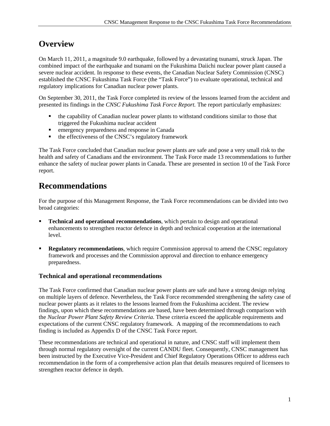# **Overview**

On March 11, 2011, a magnitude 9.0 earthquake, followed by a devastating tsunami, struck Japan. The combined impact of the earthquake and tsunami on the Fukushima Daiichi nuclear power plant caused a severe nuclear accident. In response to these events, the Canadian Nuclear Safety Commission (CNSC) established the CNSC Fukushima Task Force (the "Task Force") to evaluate operational, technical and regulatory implications for Canadian nuclear power plants.

On September 30, 2011, the Task Force completed its review of the lessons learned from the accident and presented its findings in the *CNSC Fukushima Task Force Report.* The report particularly emphasizes:

- the capability of Canadian nuclear power plants to withstand conditions similar to those that triggered the Fukushima nuclear accident
- **EXECUTE:** emergency preparedness and response in Canada
- $\blacksquare$  the effectiveness of the CNSC's regulatory framework

The Task Force concluded that Canadian nuclear power plants are safe and pose a very small risk to the health and safety of Canadians and the environment. The Task Force made 13 recommendations to further enhance the safety of nuclear power plants in Canada. These are presented in section 10 of the Task Force report.

# **Recommendations**

For the purpose of this Management Response, the Task Force recommendations can be divided into two broad categories:

- **Technical and operational recommendations***,* which pertain to design and operational enhancements to strengthen reactor defence in depth and technical cooperation at the international level.
- **Regulatory recommendations***,* which require Commission approval to amend the CNSC regulatory framework and processes and the Commission approval and direction to enhance emergency preparedness.

### **Technical and operational recommendations**

The Task Force confirmed that Canadian nuclear power plants are safe and have a strong design relying on multiple layers of defence. Nevertheless, the Task Force recommended strengthening the safety case of nuclear power plants as it relates to the lessons learned from the Fukushima accident. The review findings, upon which these recommendations are based, have been determined through comparison with the *Nuclear Power Plant Safety Review Criteria*. These criteria exceed the applicable requirements and expectations of the current CNSC regulatory framework. A mapping of the recommendations to each finding is included as Appendix D of the CNSC Task Force report.

These recommendations are technical and operational in nature, and CNSC staff will implement them through normal regulatory oversight of the current CANDU fleet. Consequently, CNSC management has been instructed by the Executive Vice-President and Chief Regulatory Operations Officer to address each recommendation in the form of a comprehensive action plan that details measures required of licensees to strengthen reactor defence in depth.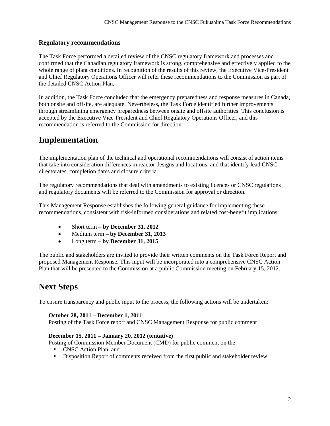### **Regulatory recommendations**

The Task Force performed a detailed review of the CNSC regulatory framework and processes and confirmed that the Canadian regulatory framework is strong, comprehensive and effectively applied to the whole range of plant conditions. In recognition of the results of this review, the Executive Vice-President and Chief Regulatory Operations Officer will refer these recommendations to the Commission as part of the detailed CNSC Action Plan.

In addition, the Task Force concluded that the emergency preparedness and response measures in Canada, both onsite and offsite, are adequate. Nevertheless, the Task Force identified further improvements through streamlining emergency preparedness between onsite and offsite authorities. This conclusion is accepted by the Executive Vice-President and Chief Regulatory Operations Officer, and this recommendation is referred to the Commission for direction.

# **Implementation**

The implementation plan of the technical and operational recommendations will consist of action items that take into consideration differences in reactor designs and locations, and that identify lead CNSC directorates, completion dates and closure criteria.

The regulatory recommendations that deal with amendments to existing licences or CNSC regulations and regulatory documents will be referred to the Commission for approval or direction.

This Management Response establishes the following general guidance for implementing these recommendations, consistent with risk-informed considerations and related cost-benefit implications:

- Short term **by December 31, 2012**
- Medium term **by December 31, 2013**
- Long term **by December 31, 2015**

The public and stakeholders are invited to provide their written comments on the Task Force Report and proposed Management Response. This input will be incorporated into a comprehensive CNSC Action Plan that will be presented to the Commission at a public Commission meeting on February 15, 2012.

# **Next Steps**

To ensure transparency and public input to the process, the following actions will be undertaken:

#### **October 28, 2011 – December 1, 2011**

Posting of the Task Force report and CNSC Management Response for public comment

#### **December 15, 2011 – January 20, 2012 (tentative)**

Posting of Commission Member Document (CMD) for public comment on the:

- CNSC Action Plan, and
- Disposition Report of comments received from the first public and stakeholder review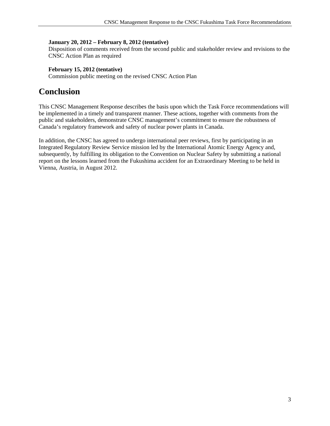#### **January 20, 2012 – February 8, 2012 (tentative)**

Disposition of comments received from the second public and stakeholder review and revisions to the CNSC Action Plan as required

#### **February 15, 2012 (tentative)**

Commission public meeting on the revised CNSC Action Plan

### **Conclusion**

This CNSC Management Response describes the basis upon which the Task Force recommendations will be implemented in a timely and transparent manner. These actions, together with comments from the public and stakeholders, demonstrate CNSC management's commitment to ensure the robustness of Canada's regulatory framework and safety of nuclear power plants in Canada.

In addition, the CNSC has agreed to undergo international peer reviews, first by participating in an Integrated Regulatory Review Service mission led by the International Atomic Energy Agency and, subsequently, by fulfilling its obligation to the Convention on Nuclear Safety by submitting a national report on the lessons learned from the Fukushima accident for an Extraordinary Meeting to be held in Vienna, Austria, in August 2012.